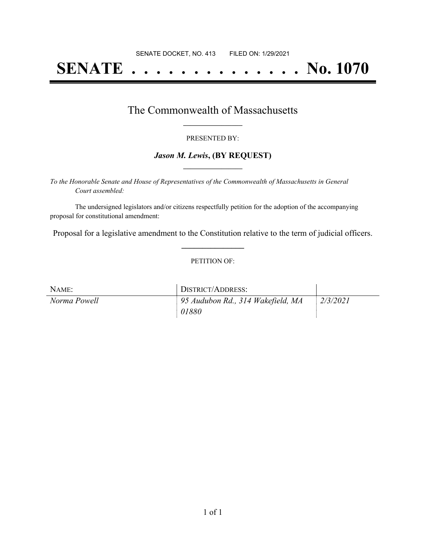# **SENATE . . . . . . . . . . . . . . No. 1070**

## The Commonwealth of Massachusetts **\_\_\_\_\_\_\_\_\_\_\_\_\_\_\_\_\_**

#### PRESENTED BY:

### *Jason M. Lewis***, (BY REQUEST) \_\_\_\_\_\_\_\_\_\_\_\_\_\_\_\_\_**

*To the Honorable Senate and House of Representatives of the Commonwealth of Massachusetts in General Court assembled:*

The undersigned legislators and/or citizens respectfully petition for the adoption of the accompanying proposal for constitutional amendment:

Proposal for a legislative amendment to the Constitution relative to the term of judicial officers. **\_\_\_\_\_\_\_\_\_\_\_\_\_\_\_**

#### PETITION OF:

| NAME:        | DISTRICT/ADDRESS:                 |          |
|--------------|-----------------------------------|----------|
| Norma Powell | 95 Audubon Rd., 314 Wakefield, MA | 2/3/2021 |
|              | 01880                             |          |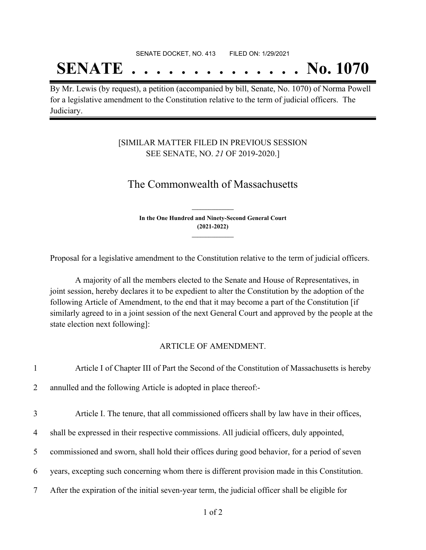# **SENATE . . . . . . . . . . . . . . No. 1070**

By Mr. Lewis (by request), a petition (accompanied by bill, Senate, No. 1070) of Norma Powell for a legislative amendment to the Constitution relative to the term of judicial officers. The Judiciary.

### [SIMILAR MATTER FILED IN PREVIOUS SESSION SEE SENATE, NO. *21* OF 2019-2020.]

## The Commonwealth of Massachusetts

**In the One Hundred and Ninety-Second General Court (2021-2022) \_\_\_\_\_\_\_\_\_\_\_\_\_\_\_**

**\_\_\_\_\_\_\_\_\_\_\_\_\_\_\_**

Proposal for a legislative amendment to the Constitution relative to the term of judicial officers.

A majority of all the members elected to the Senate and House of Representatives, in joint session, hereby declares it to be expedient to alter the Constitution by the adoption of the following Article of Amendment, to the end that it may become a part of the Constitution [if similarly agreed to in a joint session of the next General Court and approved by the people at the state election next following]:

#### ARTICLE OF AMENDMENT.

| $\mathbf{1}$   | Article I of Chapter III of Part the Second of the Constitution of Massachusetts is hereby      |
|----------------|-------------------------------------------------------------------------------------------------|
| $\overline{2}$ | annulled and the following Article is adopted in place thereof:-                                |
| 3              | Article I. The tenure, that all commissioned officers shall by law have in their offices,       |
| 4              | shall be expressed in their respective commissions. All judicial officers, duly appointed,      |
| 5              | commissioned and sworn, shall hold their offices during good behavior, for a period of seven    |
| 6              | years, excepting such concerning whom there is different provision made in this Constitution.   |
| $\overline{7}$ | After the expiration of the initial seven-year term, the judicial officer shall be eligible for |